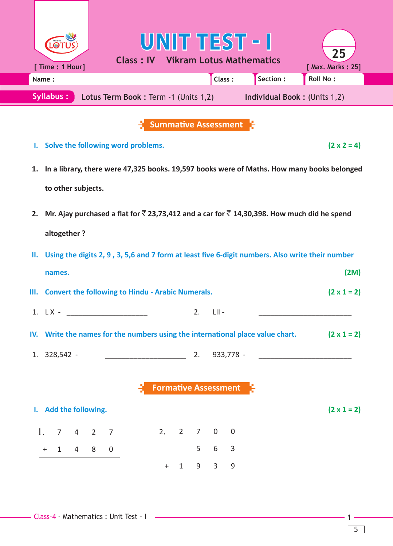|    | Name:                                                    |  |                                      |  |          |    |            | Class:                      | Section : | <b>Roll No:</b>                                                                                                         |
|----|----------------------------------------------------------|--|--------------------------------------|--|----------|----|------------|-----------------------------|-----------|-------------------------------------------------------------------------------------------------------------------------|
|    | Syllabus:                                                |  | Lotus Term Book: Term -1 (Units 1,2) |  |          |    |            |                             |           | <b>Individual Book: (Units 1,2)</b>                                                                                     |
|    |                                                          |  |                                      |  |          |    |            | <b>Summative Assessment</b> |           |                                                                                                                         |
| Ъ. | Solve the following word problems.                       |  |                                      |  |          |    |            |                             |           | $(2 \times 2 = 4)$                                                                                                      |
| 1. |                                                          |  |                                      |  |          |    |            |                             |           | In a library, there were 47,325 books. 19,597 books were of Maths. How many books belonged                              |
|    | to other subjects.                                       |  |                                      |  |          |    |            |                             |           |                                                                                                                         |
|    |                                                          |  |                                      |  |          |    |            |                             |           |                                                                                                                         |
|    |                                                          |  |                                      |  |          |    |            |                             |           | 2. Mr. Ajay purchased a flat for $\overline{5}$ 23,73,412 and a car for $\overline{5}$ 14,30,398. How much did he spend |
|    | altogether?                                              |  |                                      |  |          |    |            |                             |           |                                                                                                                         |
|    |                                                          |  |                                      |  |          |    |            |                             |           |                                                                                                                         |
| П. |                                                          |  |                                      |  |          |    |            |                             |           | Using the digits 2, 9, 3, 5,6 and 7 form at least five 6-digit numbers. Also write their number                         |
|    | names.                                                   |  |                                      |  |          |    |            |                             |           |                                                                                                                         |
| Ш. | <b>Convert the following to Hindu - Arabic Numerals.</b> |  |                                      |  |          |    |            |                             |           |                                                                                                                         |
|    | 1. $LX -$                                                |  |                                      |  |          | 2. | $-LII -$   |                             |           | (2M)<br>$(2 \times 1 = 2)$                                                                                              |
|    |                                                          |  |                                      |  |          |    |            |                             |           |                                                                                                                         |
|    |                                                          |  |                                      |  |          |    |            |                             |           | IV. Write the names for the numbers using the international place value chart. $(2 \times 1 = 2)$                       |
|    | 1. 328,542 -                                             |  |                                      |  |          |    |            |                             |           |                                                                                                                         |
|    |                                                          |  |                                      |  |          |    |            |                             |           |                                                                                                                         |
|    |                                                          |  |                                      |  |          |    |            | <b>Formative Assessment</b> |           |                                                                                                                         |
|    | I. Add the following.                                    |  |                                      |  |          |    |            |                             |           | $(2 \times 1 = 2)$                                                                                                      |
|    | 1, 7, 4, 2, 7                                            |  |                                      |  | 2. 2 7 0 |    |            | $\overline{0}$              |           |                                                                                                                         |
|    | $+$ 1 4 8                                                |  | $\overline{0}$                       |  |          |    | $5\quad 6$ | $\overline{3}$              |           |                                                                                                                         |